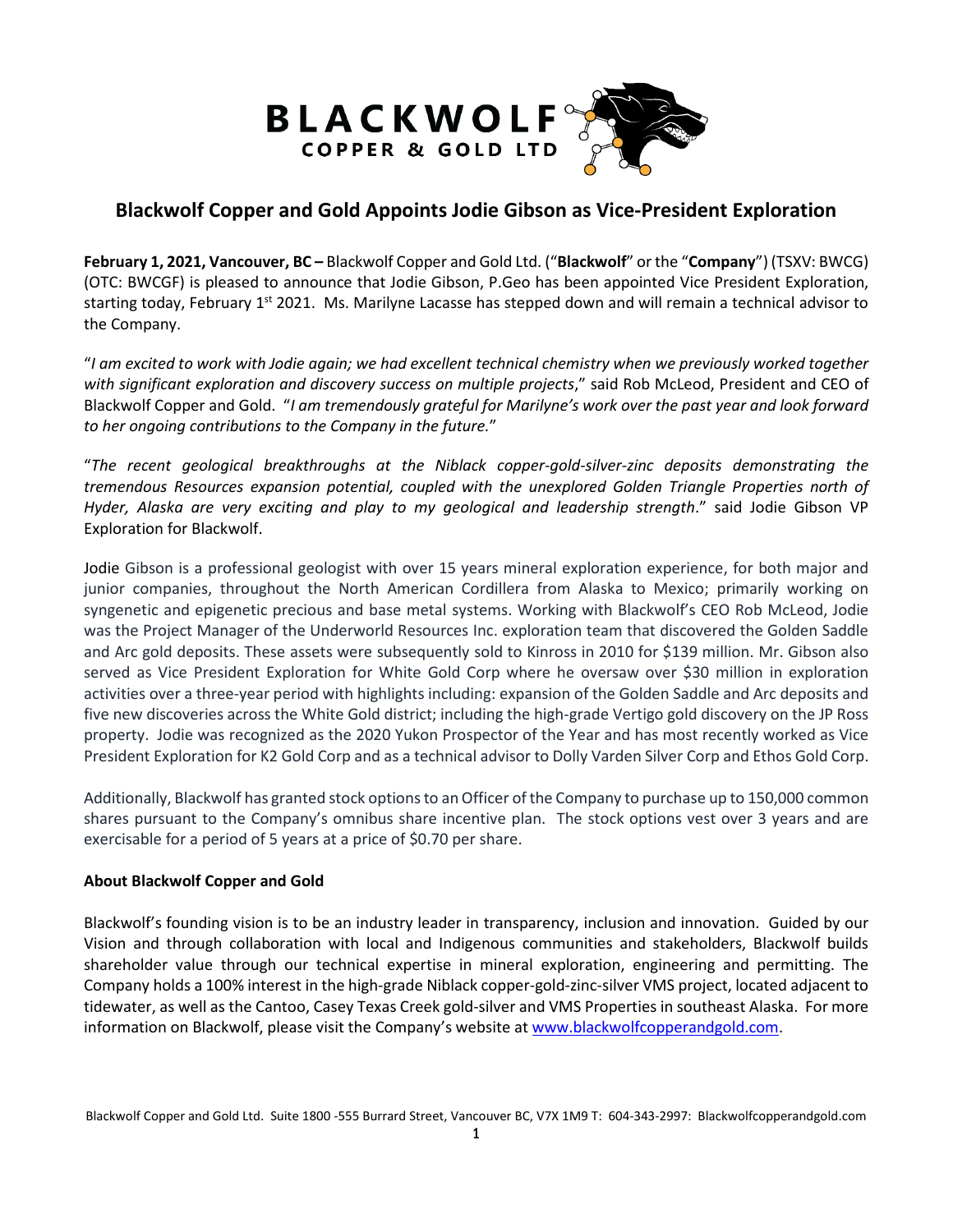

## **Blackwolf Copper and Gold Appoints Jodie Gibson as Vice-President Exploration**

**February 1, 2021, Vancouver, BC –** Blackwolf Copper and Gold Ltd. ("**Blackwolf**" or the "**Company**") (TSXV: BWCG) (OTC: BWCGF) is pleased to announce that Jodie Gibson, P.Geo has been appointed Vice President Exploration, starting today, February 1<sup>st</sup> 2021. Ms. Marilyne Lacasse has stepped down and will remain a technical advisor to the Company.

"*I am excited to work with Jodie again; we had excellent technical chemistry when we previously worked together with significant exploration and discovery success on multiple projects*," said Rob McLeod, President and CEO of Blackwolf Copper and Gold. "*I am tremendously grateful for Marilyne's work over the past year and look forward to her ongoing contributions to the Company in the future.*"

"*The recent geological breakthroughs at the Niblack copper-gold-silver-zinc deposits demonstrating the tremendous Resources expansion potential, coupled with the unexplored Golden Triangle Properties north of Hyder, Alaska are very exciting and play to my geological and leadership strength*." said Jodie Gibson VP Exploration for Blackwolf.

Jodie Gibson is a professional geologist with over 15 years mineral exploration experience, for both major and junior companies, throughout the North American Cordillera from Alaska to Mexico; primarily working on syngenetic and epigenetic precious and base metal systems. Working with Blackwolf's CEO Rob McLeod, Jodie was the Project Manager of the Underworld Resources Inc. exploration team that discovered the Golden Saddle and Arc gold deposits. These assets were subsequently sold to Kinross in 2010 for \$139 million. Mr. Gibson also served as Vice President Exploration for White Gold Corp where he oversaw over \$30 million in exploration activities over a three-year period with highlights including: expansion of the Golden Saddle and Arc deposits and five new discoveries across the White Gold district; including the high-grade Vertigo gold discovery on the JP Ross property. Jodie was recognized as the 2020 Yukon Prospector of the Year and has most recently worked as Vice President Exploration for K2 Gold Corp and as a technical advisor to Dolly Varden Silver Corp and Ethos Gold Corp.

Additionally, Blackwolf has granted stock options to an Officer of the Company to purchase up to 150,000 common shares pursuant to the Company's omnibus share incentive plan. The stock options vest over 3 years and are exercisable for a period of 5 years at a price of \$0.70 per share.

## **About Blackwolf Copper and Gold**

Blackwolf's founding vision is to be an industry leader in transparency, inclusion and innovation. Guided by our Vision and through collaboration with local and Indigenous communities and stakeholders, Blackwolf builds shareholder value through our technical expertise in mineral exploration, engineering and permitting. The Company holds a 100% interest in the high-grade Niblack copper-gold-zinc-silver VMS project, located adjacent to tidewater, as well as the Cantoo, Casey Texas Creek gold-silver and VMS Properties in southeast Alaska. For more information on Blackwolf, please visit the Company's website at [www.blackwolfcopperandgold.com.](http://www.blackwolfcopperandgold.com/)

Blackwolf Copper and Gold Ltd. Suite 1800 -555 Burrard Street, Vancouver BC, V7X 1M9 T: 604-343-2997: Blackwolfcopperandgold.com